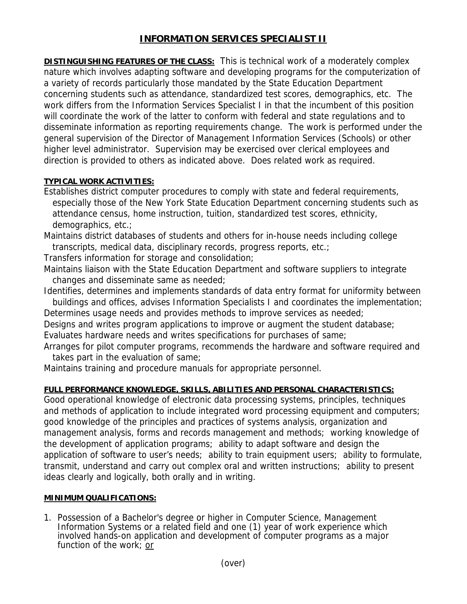## **INFORMATION SERVICES SPECIALIST II**

**DISTINGUISHING FEATURES OF THE CLASS:** This is technical work of a moderately complex nature which involves adapting software and developing programs for the computerization of a variety of records particularly those mandated by the State Education Department concerning students such as attendance, standardized test scores, demographics, etc. The work differs from the Information Services Specialist I in that the incumbent of this position will coordinate the work of the latter to conform with federal and state regulations and to disseminate information as reporting requirements change. The work is performed under the general supervision of the Director of Management Information Services (Schools) or other higher level administrator. Supervision may be exercised over clerical employees and direction is provided to others as indicated above. Does related work as required.

## **TYPICAL WORK ACTIVITIES:**

Establishes district computer procedures to comply with state and federal requirements, especially those of the New York State Education Department concerning students such as attendance census, home instruction, tuition, standardized test scores, ethnicity, demographics, etc.;

Maintains district databases of students and others for in-house needs including college transcripts, medical data, disciplinary records, progress reports, etc.;

Transfers information for storage and consolidation;

Maintains liaison with the State Education Department and software suppliers to integrate changes and disseminate same as needed;

Identifies, determines and implements standards of data entry format for uniformity between buildings and offices, advises Information Specialists I and coordinates the implementation;

Determines usage needs and provides methods to improve services as needed;

Designs and writes program applications to improve or augment the student database; Evaluates hardware needs and writes specifications for purchases of same;

Arranges for pilot computer programs, recommends the hardware and software required and takes part in the evaluation of same;

Maintains training and procedure manuals for appropriate personnel.

## **FULL PERFORMANCE KNOWLEDGE, SKILLS, ABILITIES AND PERSONAL CHARACTERISTICS:**

Good operational knowledge of electronic data processing systems, principles, techniques and methods of application to include integrated word processing equipment and computers; good knowledge of the principles and practices of systems analysis, organization and management analysis, forms and records management and methods; working knowledge of the development of application programs; ability to adapt software and design the application of software to user's needs; ability to train equipment users; ability to formulate, transmit, understand and carry out complex oral and written instructions; ability to present ideas clearly and logically, both orally and in writing.

## **MINIMUM QUALIFICATIONS:**

1. Possession of a Bachelor's degree or higher in Computer Science, Management Information Systems or a related field and one (1) year of work experience which involved hands-on application and development of computer programs as a major function of the work; or